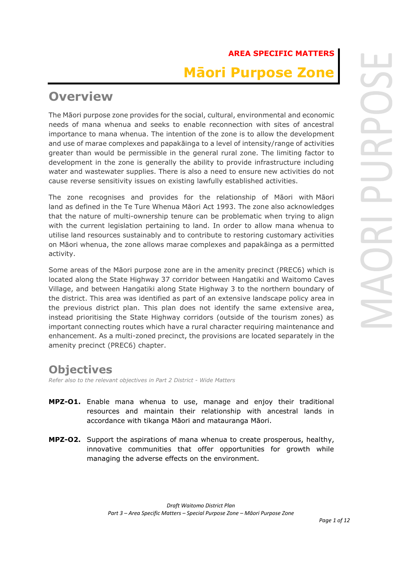# **AREA SPECIFIC MATTERS Māori Purpose Zone**

# **Overview**

The Māori purpose zone provides for the social, cultural, environmental and economic needs of mana whenua and seeks to enable reconnection with sites of ancestral importance to mana whenua. The intention of the zone is to allow the development and use of marae complexes and papakāinga to a level of intensity/range of activities greater than would be permissible in the general rural zone. The limiting factor to development in the zone is generally the ability to provide infrastructure including water and wastewater supplies. There is also a need to ensure new activities do not cause reverse sensitivity issues on existing lawfully established activities.

The zone recognises and provides for the relationship of Māori with Māori land as defined in the Te Ture Whenua Māori Act 1993. The zone also acknowledges that the nature of multi-ownership tenure can be problematic when trying to align with the current legislation pertaining to land. In order to allow mana whenua to utilise land resources sustainably and to contribute to restoring customary activities on Māori whenua, the zone allows marae complexes and papakāinga as a permitted activity.

Some areas of the Māori purpose zone are in the amenity precinct (PREC6) which is located along the State Highway 37 corridor between Hangatiki and Waitomo Caves Village, and between Hangatiki along State Highway 3 to the northern boundary of the district. This area was identified as part of an extensive landscape policy area in the previous district plan. This plan does not identify the same extensive area, instead prioritising the State Highway corridors (outside of the tourism zones) as important connecting routes which have a rural character requiring maintenance and enhancement. As a multi-zoned precinct, the provisions are located separately in the amenity precinct (PREC6) chapter.

# **Objectives**

*Refer also to the relevant objectives in Part 2 District - Wide Matters*

- **MPZ-O1.** Enable mana whenua to use, manage and enjoy their traditional resources and maintain their relationship with ancestral lands in accordance with tikanga Māori and matauranga Māori.
- **MPZ-O2.** Support the aspirations of mana whenua to create prosperous, healthy, innovative communities that offer opportunities for growth while managing the adverse effects on the environment.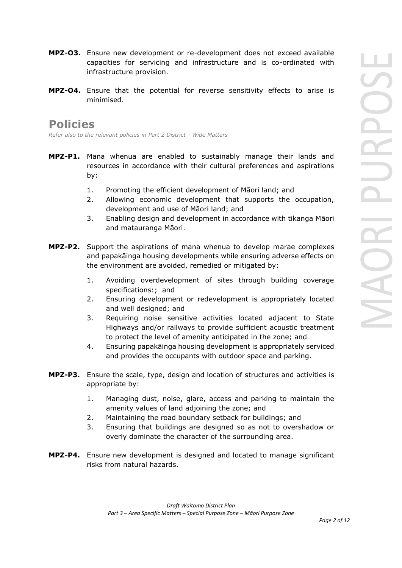- **MPZ-O3.** Ensure new development or re-development does not exceed available capacities for servicing and infrastructure and is co-ordinated with infrastructure provision.
- **MPZ-O4.** Ensure that the potential for reverse sensitivity effects to arise is minimised.

# **Policies**

*Refer also to the relevant policies in Part 2 District - Wide Matters* 

- **MPZ-P1.** Mana whenua are enabled to sustainably manage their lands and resources in accordance with their cultural preferences and aspirations by:
	- 1. Promoting the efficient development of Māori land; and
	- 2. Allowing economic development that supports the occupation, development and use of Māori land; and
	- 3. Enabling design and development in accordance with tikanga Māori and matauranga Māori.
- **MPZ-P2.** Support the aspirations of mana whenua to develop marae complexes and papakāinga housing developments while ensuring adverse effects on the environment are avoided, remedied or mitigated by:
	- 1. Avoiding overdevelopment of sites through building coverage specifications:; and
	- 2. Ensuring development or redevelopment is appropriately located and well designed; and
	- 3. Requiring noise sensitive activities located adjacent to State Highways and/or railways to provide sufficient acoustic treatment to protect the level of amenity anticipated in the zone; and
	- 4. Ensuring papakāinga housing development is appropriately serviced and provides the occupants with outdoor space and parking.
- **MPZ-P3.** Ensure the scale, type, design and location of structures and activities is appropriate by:
	- 1. Managing dust, noise, glare, access and parking to maintain the amenity values of land adjoining the zone; and
	- 2. Maintaining the road boundary setback for buildings; and
	- 3. Ensuring that buildings are designed so as not to overshadow or overly dominate the character of the surrounding area.
- **MPZ-P4.** Ensure new development is designed and located to manage significant risks from natural hazards.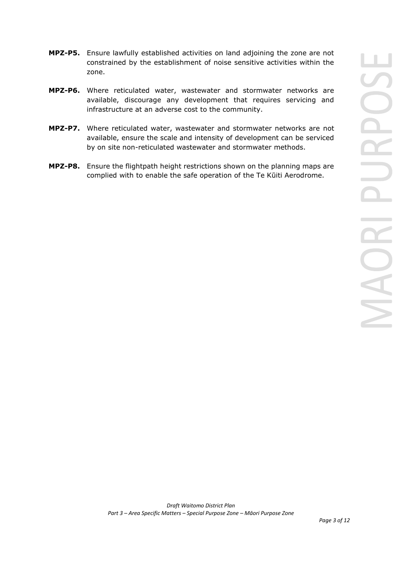- **MPZ-P5.** Ensure lawfully established activities on land adjoining the zone are not constrained by the establishment of noise sensitive activities within the zone.
- **MPZ-P6.** Where reticulated water, wastewater and stormwater networks are available, discourage any development that requires servicing and infrastructure at an adverse cost to the community.
- **MPZ-P7.** Where reticulated water, wastewater and stormwater networks are not available, ensure the scale and intensity of development can be serviced by on site non-reticulated wastewater and stormwater methods.
- **MPZ-P8.** Ensure the flightpath height restrictions shown on the planning maps are complied with to enable the safe operation of the Te Kūiti Aerodrome.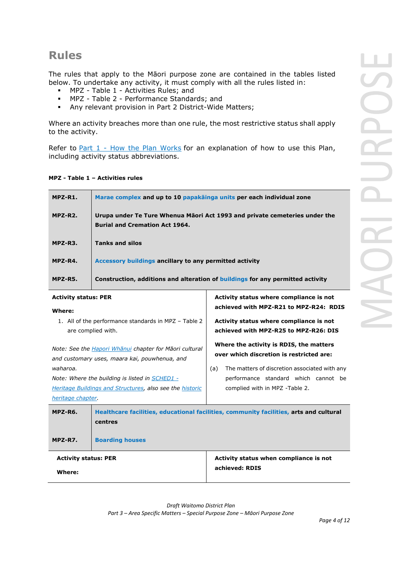# **Rules**

The rules that apply to the Māori purpose zone are contained in the tables listed below. To undertake any activity, it must comply with all the rules listed in:

- MPZ Table 1 Activities Rules; and
- **MPZ Table 2 Performance Standards; and <br>• Any relevant provision in Part 2 District-Wide**
- Any relevant provision in Part 2 District-Wide Matters;

Where an activity breaches more than one rule, the most restrictive status shall apply to the activity.

Refer to  $Part 1$  - How the Plan Works for an explanation of how to use this Plan, including activity status abbreviations.

# **MPZ - Table 1 – Activities rules**

| MPZ-R1. | Marae complex and up to 10 papakäinga units per each individual zone                                                |
|---------|---------------------------------------------------------------------------------------------------------------------|
| MPZ-R2. | Urupa under Te Ture Whenua Māori Act 1993 and private cemeteries under the<br><b>Burial and Cremation Act 1964.</b> |
| MPZ-R3. | <b>Tanks and silos</b>                                                                                              |
| MPZ-R4. | Accessory buildings ancillary to any permitted activity                                                             |
| MPZ-R5. | Construction, additions and alteration of buildings for any permitted activity                                      |

| <b>Activity status: PER</b> |                                                                                                                |     | Activity status where compliance is not                                                |
|-----------------------------|----------------------------------------------------------------------------------------------------------------|-----|----------------------------------------------------------------------------------------|
| Where:                      |                                                                                                                |     | achieved with MPZ-R21 to MPZ-R24: RDIS                                                 |
| are complied with.          | 1. All of the performance standards in MPZ – Table 2                                                           |     | Activity status where compliance is not<br>achieved with MPZ-R25 to MPZ-R26: DIS       |
|                             | Note: See the <i>Hapori Whanui</i> chapter for Maori cultural<br>and customary uses, maara kai, pouwhenua, and |     | Where the activity is RDIS, the matters<br>over which discretion is restricted are:    |
| waharoa.                    |                                                                                                                | (a) | The matters of discretion associated with any                                          |
|                             | Note: Where the building is listed in SCHED1 -                                                                 |     | performance standard which cannot be                                                   |
|                             | <b>Heritage Buildings and Structures, also see the historic</b>                                                |     | complied with in MPZ -Table 2.                                                         |
| heritage chapter.           |                                                                                                                |     |                                                                                        |
| MPZ-R6.                     | centres                                                                                                        |     | Healthcare facilities, educational facilities, community facilities, arts and cultural |
| MPZ-R7.                     | <b>Boarding houses</b>                                                                                         |     |                                                                                        |
| <b>Activity status: PER</b> |                                                                                                                |     | Activity status when compliance is not                                                 |
| Where:                      |                                                                                                                |     | achieved: RDIS                                                                         |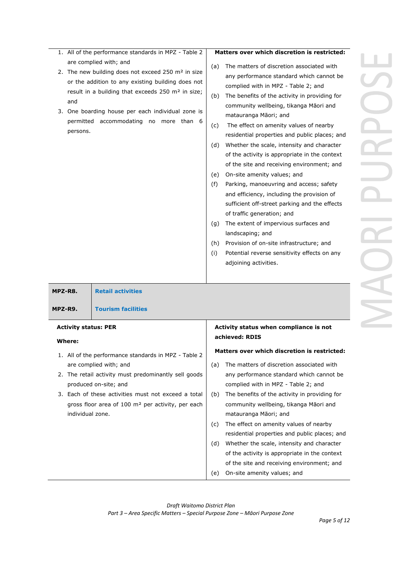- 1. All of the performance standards in MPZ Table 2 are complied with; and
- 2. The new building does not exceed 250 m<sup>2</sup> in size or the addition to any existing building does not result in a building that exceeds 250 m² in size; and
- 3. One boarding house per each individual zone is permitted accommodating no more than 6 persons.

## **Matters over which discretion is restricted:**

- (a) The matters of discretion associated with any performance standard which cannot be complied with in MPZ - Table 2; and
- (b) The benefits of the activity in providing for community wellbeing, tikanga Māori and matauranga Māori; and
- (c) The effect on amenity values of nearby residential properties and public places; and
- (d) Whether the scale, intensity and character of the activity is appropriate in the context of the site and receiving environment; and
- (e) On-site amenity values; and
- (f) Parking, manoeuvring and access; safety and efficiency, including the provision of sufficient off-street parking and the effects of traffic generation; and
- (g) The extent of impervious surfaces and landscaping; and
- (h) Provision of on-site infrastructure; and
- (i) Potential reverse sensitivity effects on any adjoining activities.

| MPZ-R8.                     | <b>Retail activities</b>                                      |     |                                                     |
|-----------------------------|---------------------------------------------------------------|-----|-----------------------------------------------------|
| MPZ-R9.                     | <b>Tourism facilities</b>                                     |     |                                                     |
| <b>Activity status: PER</b> |                                                               |     | Activity status when compliance is not              |
| Where:                      |                                                               |     | achieved: RDIS                                      |
|                             | 1. All of the performance standards in MPZ - Table 2          |     | <b>Matters over which discretion is restricted:</b> |
|                             | are complied with; and                                        | (a) | The matters of discretion associated with           |
|                             | 2. The retail activity must predominantly sell goods          |     | any performance standard which cannot be            |
|                             | produced on-site; and                                         |     | complied with in MPZ - Table 2; and                 |
|                             | 3. Each of these activities must not exceed a total           | (b) | The benefits of the activity in providing for       |
|                             | gross floor area of 100 m <sup>2</sup> per activity, per each |     | community wellbeing, tikanga Māori and              |
| individual zone.            |                                                               |     | matauranga Māori; and                               |
|                             |                                                               | (c) | The effect on amenity values of nearby              |
|                             |                                                               |     | residential properties and public places; and       |
|                             |                                                               | (d) | Whether the scale, intensity and character          |
|                             |                                                               |     | of the activity is appropriate in the context       |
|                             |                                                               |     | of the site and receiving environment; and          |
|                             |                                                               | (e) | On-site amenity values; and                         |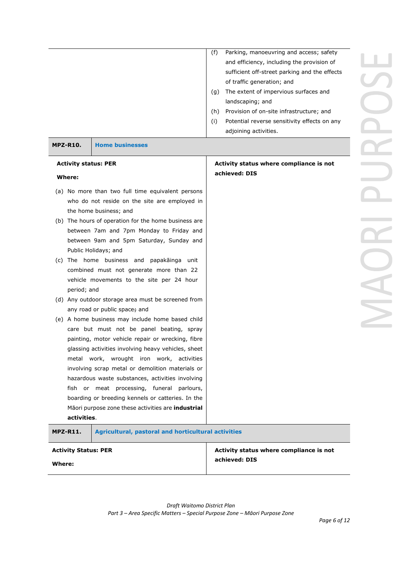|                             |                                                            | (f) | Parking, manoeuvring and access; safety       |
|-----------------------------|------------------------------------------------------------|-----|-----------------------------------------------|
|                             |                                                            |     | and efficiency, including the provision of    |
|                             |                                                            |     | sufficient off-street parking and the effects |
|                             |                                                            |     | of traffic generation; and                    |
|                             |                                                            | (g) | The extent of impervious surfaces and         |
|                             |                                                            |     | landscaping; and                              |
|                             |                                                            | (h) | Provision of on-site infrastructure; and      |
|                             |                                                            | (i) | Potential reverse sensitivity effects on any  |
|                             |                                                            |     | adjoining activities.                         |
|                             |                                                            |     |                                               |
| <b>MPZ-R10.</b>             | <b>Home businesses</b>                                     |     |                                               |
| <b>Activity status: PER</b> |                                                            |     | Activity status where compliance is not       |
|                             |                                                            |     | achieved: DIS                                 |
| Where:                      |                                                            |     |                                               |
|                             | (a) No more than two full time equivalent persons          |     |                                               |
|                             | who do not reside on the site are employed in              |     |                                               |
|                             | the home business; and                                     |     |                                               |
|                             | (b) The hours of operation for the home business are       |     |                                               |
|                             | between 7am and 7pm Monday to Friday and                   |     |                                               |
|                             | between 9am and 5pm Saturday, Sunday and                   |     |                                               |
|                             | Public Holidays; and                                       |     |                                               |
|                             | (c) The home business and papakainga unit                  |     |                                               |
|                             | combined must not generate more than 22                    |     |                                               |
|                             | vehicle movements to the site per 24 hour                  |     |                                               |
| period; and                 |                                                            |     |                                               |
|                             | (d) Any outdoor storage area must be screened from         |     |                                               |
|                             | any road or public space; and                              |     |                                               |
|                             | (e) A home business may include home based child           |     |                                               |
|                             | care but must not be panel beating, spray                  |     |                                               |
|                             | painting, motor vehicle repair or wrecking, fibre          |     |                                               |
|                             | glassing activities involving heavy vehicles, sheet        |     |                                               |
|                             | metal work, wrought iron work, activities                  |     |                                               |
|                             | involving scrap metal or demolition materials or           |     |                                               |
|                             | hazardous waste substances, activities involving           |     |                                               |
|                             | fish or meat processing, funeral parlours,                 |     |                                               |
|                             | boarding or breeding kennels or catteries. In the          |     |                                               |
|                             |                                                            |     |                                               |
| activities.                 | Māori purpose zone these activities are industrial         |     |                                               |
|                             |                                                            |     |                                               |
| <b>MPZ-R11.</b>             | <b>Agricultural, pastoral and horticultural activities</b> |     |                                               |
| <b>Activity Status: PER</b> |                                                            |     | Activity status where compliance is not       |
|                             |                                                            |     | achieved: DIS                                 |
| Where:                      |                                                            |     |                                               |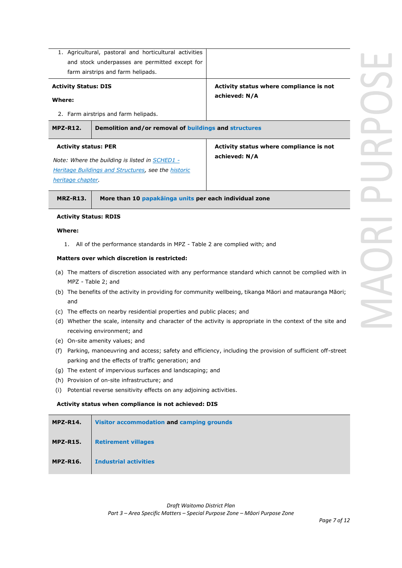| <b>Activity Status: DIS</b>                      | 1. Agricultural, pastoral and horticultural activities<br>and stock underpasses are permitted except for<br>farm airstrips and farm helipads. | Activity status where compliance is not                                                                                                                                                                               |  |
|--------------------------------------------------|-----------------------------------------------------------------------------------------------------------------------------------------------|-----------------------------------------------------------------------------------------------------------------------------------------------------------------------------------------------------------------------|--|
| Where:                                           | 2. Farm airstrips and farm helipads.                                                                                                          | achieved: N/A                                                                                                                                                                                                         |  |
| <b>MPZ-R12.</b>                                  | Demolition and/or removal of buildings and structures                                                                                         |                                                                                                                                                                                                                       |  |
| <b>Activity status: PER</b><br>heritage chapter. | Note: Where the building is listed in SCHED1 -<br>Heritage Buildings and Structures, see the historic                                         | Activity status where compliance is not<br>achieved: N/A                                                                                                                                                              |  |
| <b>MRZ-R13.</b>                                  | More than 10 papakainga units per each individual zone                                                                                        |                                                                                                                                                                                                                       |  |
| <b>Activity Status: RDIS</b>                     |                                                                                                                                               |                                                                                                                                                                                                                       |  |
| Where:<br>1.                                     | All of the performance standards in MPZ - Table 2 are complied with; and                                                                      |                                                                                                                                                                                                                       |  |
|                                                  | Matters over which discretion is restricted:                                                                                                  |                                                                                                                                                                                                                       |  |
| and                                              | MPZ - Table 2; and                                                                                                                            | (a) The matters of discretion associated with any performance standard which cannot be complied with in<br>(b) The benefits of the activity in providing for community wellbeing, tikanga Māori and matauranga Māori; |  |

- (c) The effects on nearby residential properties and public places; and
- (d) Whether the scale, intensity and character of the activity is appropriate in the context of the site and receiving environment; and
- (e) On-site amenity values; and
- (f) Parking, manoeuvring and access; safety and efficiency, including the provision of sufficient off-street parking and the effects of traffic generation; and
- (g) The extent of impervious surfaces and landscaping; and
- (h) Provision of on-site infrastructure; and
- (i) Potential reverse sensitivity effects on any adjoining activities.

## **Activity status when compliance is not achieved: DIS**

| <b>MPZ-R14.</b> | Visitor accommodation and camping grounds |
|-----------------|-------------------------------------------|
| <b>MPZ-R15.</b> | <b>Retirement villages</b>                |
| <b>MPZ-R16.</b> | <b>Industrial activities</b>              |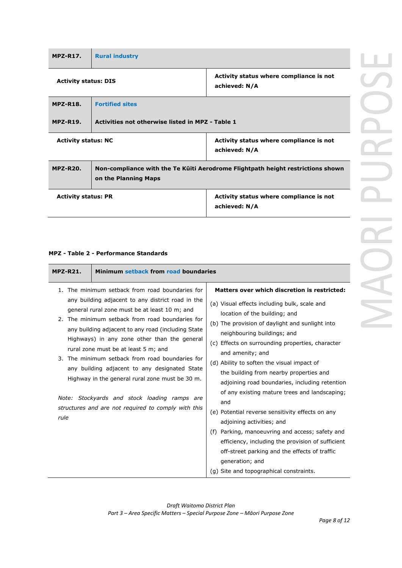| <b>MPZ-R17.</b>             | <b>Rural industry</b>                            |                                                                                 |  |
|-----------------------------|--------------------------------------------------|---------------------------------------------------------------------------------|--|
| <b>Activity status: DIS</b> |                                                  | Activity status where compliance is not<br>achieved: N/A                        |  |
| <b>MPZ-R18.</b>             | <b>Fortified sites</b>                           |                                                                                 |  |
| <b>MPZ-R19.</b>             | Activities not otherwise listed in MPZ - Table 1 |                                                                                 |  |
| <b>Activity status: NC</b>  |                                                  | Activity status where compliance is not<br>achieved: N/A                        |  |
| <b>MPZ-R20.</b>             |                                                  | Non-compliance with the Te Kuiti Aerodrome Flightpath height restrictions shown |  |

|                            | on the Planning Maps |                                                          |
|----------------------------|----------------------|----------------------------------------------------------|
| <b>Activity status: PR</b> |                      | Activity status where compliance is not<br>achieved: N/A |

# **MPZ - Table 2 - Performance Standards**

| <b>MPZ-R21.</b>  | Minimum setback from road boundaries                                                                                                                                                                                                                                                                                                                                                                                                                                                                                                                                                                           |                                                                                                                                                                                                                                                                                                                                                                                                                                                                                                                                                                                                                                                                                                                                                                                                       |
|------------------|----------------------------------------------------------------------------------------------------------------------------------------------------------------------------------------------------------------------------------------------------------------------------------------------------------------------------------------------------------------------------------------------------------------------------------------------------------------------------------------------------------------------------------------------------------------------------------------------------------------|-------------------------------------------------------------------------------------------------------------------------------------------------------------------------------------------------------------------------------------------------------------------------------------------------------------------------------------------------------------------------------------------------------------------------------------------------------------------------------------------------------------------------------------------------------------------------------------------------------------------------------------------------------------------------------------------------------------------------------------------------------------------------------------------------------|
| 1.<br>3.<br>rule | The minimum setback from road boundaries for<br>any building adjacent to any district road in the<br>general rural zone must be at least 10 m; and<br>2. The minimum setback from road boundaries for<br>any building adjacent to any road (including State<br>Highways) in any zone other than the general<br>rural zone must be at least 5 m; and<br>The minimum setback from road boundaries for<br>any building adjacent to any designated State<br>Highway in the general rural zone must be 30 m.<br>Note: Stockyards and stock loading ramps are<br>structures and are not required to comply with this | Matters over which discretion is restricted:<br>(a) Visual effects including bulk, scale and<br>location of the building; and<br>(b) The provision of daylight and sunlight into<br>neighbouring buildings; and<br>(c) Effects on surrounding properties, character<br>and amenity; and<br>(d) Ability to soften the visual impact of<br>the building from nearby properties and<br>adjoining road boundaries, including retention<br>of any existing mature trees and landscaping;<br>and<br>(e) Potential reverse sensitivity effects on any<br>adjoining activities; and<br>Parking, manoeuvring and access; safety and<br>(f)<br>efficiency, including the provision of sufficient<br>off-street parking and the effects of traffic<br>generation; and<br>(q) Site and topographical constraints. |

ICH

 $\geq$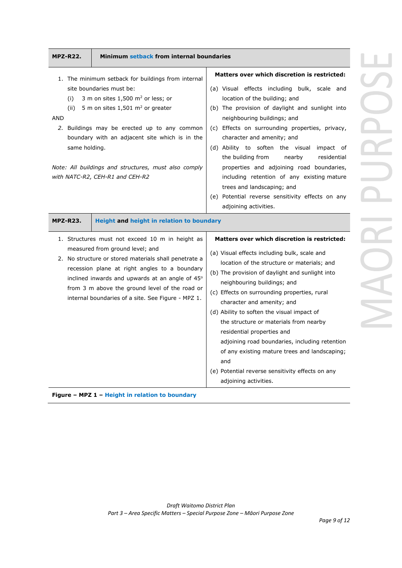| 1. The minimum setback for buildings from internal                                                                                                                                                                                                                                                                                                                       | Matters over which discretion is restricted:                                                                                                                                                                                                                                                                                                                                                                                                                                                                                                                                                                             |
|--------------------------------------------------------------------------------------------------------------------------------------------------------------------------------------------------------------------------------------------------------------------------------------------------------------------------------------------------------------------------|--------------------------------------------------------------------------------------------------------------------------------------------------------------------------------------------------------------------------------------------------------------------------------------------------------------------------------------------------------------------------------------------------------------------------------------------------------------------------------------------------------------------------------------------------------------------------------------------------------------------------|
| site boundaries must be:<br>3 m on sites $1,500$ m <sup>2</sup> or less; or<br>(i)<br>5 m on sites $1,501$ m <sup>2</sup> or greater<br>(ii)<br><b>AND</b><br>2. Buildings may be erected up to any common<br>boundary with an adjacent site which is in the<br>same holding.<br>Note: All buildings and structures, must also comply<br>with NATC-R2, CEH-R1 and CEH-R2 | (a) Visual effects including bulk, scale and<br>location of the building; and<br>(b) The provision of daylight and sunlight into<br>neighbouring buildings; and<br>(c) Effects on surrounding properties, privacy,<br>character and amenity; and<br>(d) Ability to soften the visual impact of<br>nearby<br>the building from<br>residential<br>properties and adjoining road boundaries,<br>including retention of any existing mature<br>trees and landscaping; and<br>(e) Potential reverse sensitivity effects on any                                                                                                |
| <b>MPZ-R23.</b><br>Height and height in relation to boundary                                                                                                                                                                                                                                                                                                             | adjoining activities.                                                                                                                                                                                                                                                                                                                                                                                                                                                                                                                                                                                                    |
| 1. Structures must not exceed 10 m in height as<br>measured from ground level; and<br>2. No structure or stored materials shall penetrate a<br>recession plane at right angles to a boundary<br>inclined inwards and upwards at an angle of 45°<br>from 3 m above the ground level of the road or<br>internal boundaries of a site. See Figure - MPZ 1.                  | Matters over which discretion is restricted:<br>(a) Visual effects including bulk, scale and<br>location of the structure or materials; and<br>(b) The provision of daylight and sunlight into<br>neighbouring buildings; and<br>(c) Effects on surrounding properties, rural<br>character and amenity; and<br>(d) Ability to soften the visual impact of<br>the structure or materials from nearby<br>residential properties and<br>adjoining road boundaries, including retention<br>of any existing mature trees and landscaping;<br>and<br>(e) Potential reverse sensitivity effects on any<br>adjoining activities. |



*Page 9 of 12*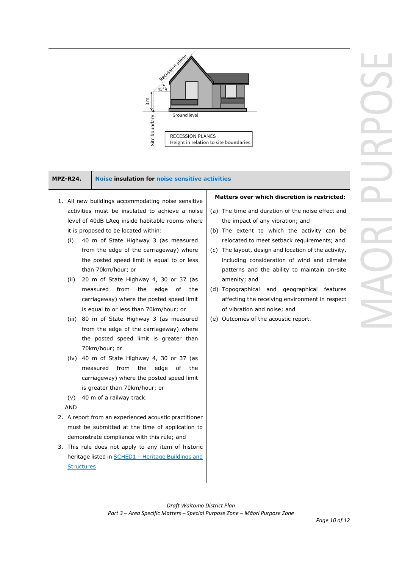

### **MPZ-R24. Noise insulation for noise sensitive activities**

- 1. All new buildings accommodating noise sensitive activities must be insulated to achieve a noise level of 40dB LAeq inside habitable rooms where it is proposed to be located within:
	- (i) 40 m of State Highway 3 (as measured from the edge of the carriageway) where the posted speed limit is equal to or less than 70km/hour; or
	- (ii) 20 m of State Highway 4, 30 or 37 (as measured from the edge of the carriageway) where the posted speed limit is equal to or less than 70km/hour; or
	- (iii) 80 m of State Highway 3 (as measured from the edge of the carriageway) where the posted speed limit is greater than 70km/hour; or
	- (iv) 40 m of State Highway 4, 30 or 37 (as measured from the edge of the carriageway) where the posted speed limit is greater than 70km/hour; or
	- (v) 40 m of a railway track.

AND

- 2. A report from an experienced acoustic practitioner must be submitted at the time of application to demonstrate compliance with this rule; and
- 3. This rule does not apply to any item of historic heritage listed in **SCHED1** - Heritage Buildings and **Structures**

# **Matters over which discretion is restricted:**

- (a) The time and duration of the noise effect and the impact of any vibration; and
- (b) The extent to which the activity can be relocated to meet setback requirements; and
- (c) The layout, design and location of the activity, including consideration of wind and climate patterns and the ability to maintain on-site amenity; and
- (d) Topographical and geographical features affecting the receiving environment in respect of vibration and noise; and
- (e) Outcomes of the acoustic report.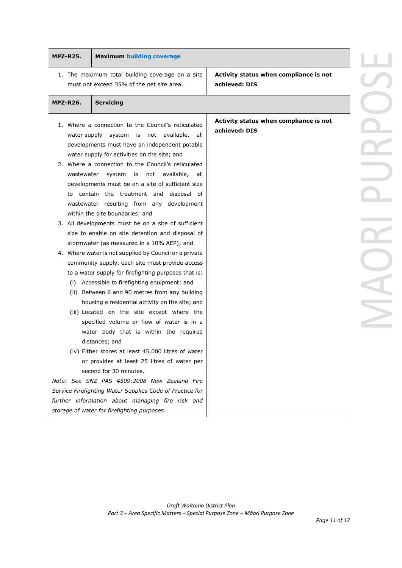| <b>Maximum building coverage</b><br><b>MPZ-R25.</b>                                                                                                                                                                                                                                                                                                                                                                                                                                                                                                                                                                                                                                                                                                                                                                                                                                                                                                                                                                                                                                                                                                                                                                                                                                                                                                                                                                                                                               |                                                         |
|-----------------------------------------------------------------------------------------------------------------------------------------------------------------------------------------------------------------------------------------------------------------------------------------------------------------------------------------------------------------------------------------------------------------------------------------------------------------------------------------------------------------------------------------------------------------------------------------------------------------------------------------------------------------------------------------------------------------------------------------------------------------------------------------------------------------------------------------------------------------------------------------------------------------------------------------------------------------------------------------------------------------------------------------------------------------------------------------------------------------------------------------------------------------------------------------------------------------------------------------------------------------------------------------------------------------------------------------------------------------------------------------------------------------------------------------------------------------------------------|---------------------------------------------------------|
| 1. The maximum total building coverage on a site<br>must not exceed 35% of the net site area.                                                                                                                                                                                                                                                                                                                                                                                                                                                                                                                                                                                                                                                                                                                                                                                                                                                                                                                                                                                                                                                                                                                                                                                                                                                                                                                                                                                     | Activity status when compliance is not<br>achieved: DIS |
| <b>MPZ-R26.</b><br><b>Servicing</b>                                                                                                                                                                                                                                                                                                                                                                                                                                                                                                                                                                                                                                                                                                                                                                                                                                                                                                                                                                                                                                                                                                                                                                                                                                                                                                                                                                                                                                               |                                                         |
| 1. Where a connection to the Council's reticulated<br>water supply system is not available, all<br>developments must have an independent potable<br>water supply for activities on the site; and<br>2. Where a connection to the Council's reticulated<br>system is not available,<br>wastewater<br>all<br>developments must be on a site of sufficient size<br>to contain the treatment and disposal of<br>wastewater resulting from any development<br>within the site boundaries; and<br>3. All developments must be on a site of sufficient<br>size to enable on site detention and disposal of<br>stormwater (as measured in a 10% AEP); and<br>4. Where water is not supplied by Council or a private<br>community supply, each site must provide access<br>to a water supply for firefighting purposes that is:<br>(i) Accessible to firefighting equipment; and<br>(ii) Between 6 and 90 metres from any building<br>housing a residential activity on the site; and<br>(iii) Located on the site except where the<br>specified volume or flow of water is in a<br>water body that is within the required<br>distances; and<br>(iv) Either stores at least 45,000 litres of water<br>or provides at least 25 litres of water per<br>second for 30 minutes.<br>Note: See SNZ PAS 4509:2008 New Zealand Fire<br>Service Firefighting Water Supplies Code of Practice for<br>further information about managing fire risk and<br>storage of water for firefighting purposes. | Activity status when compliance is not<br>achieved: DIS |